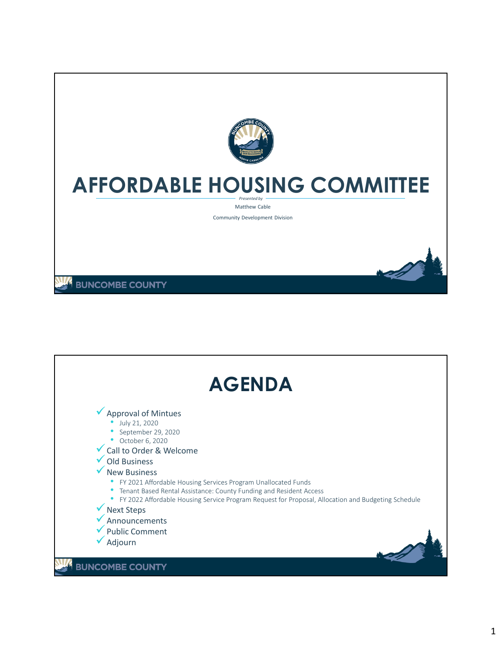

## **AFFORDABLE HOUSING COMMITTEE**

*Presented by* Matthew Cable

Community Development Division

**BUNCOMBE COUNTY** 

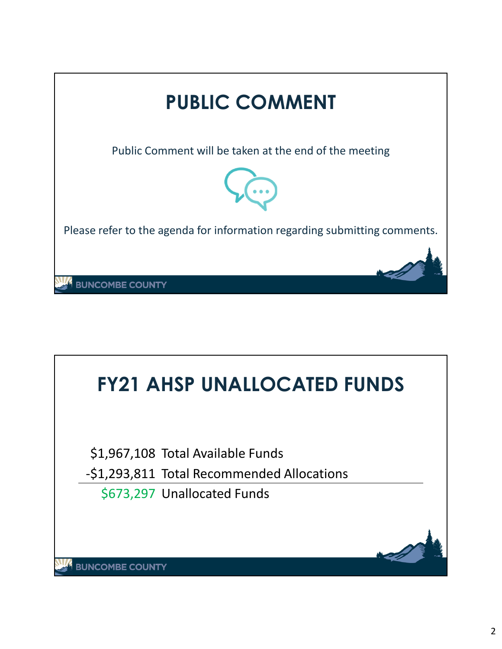

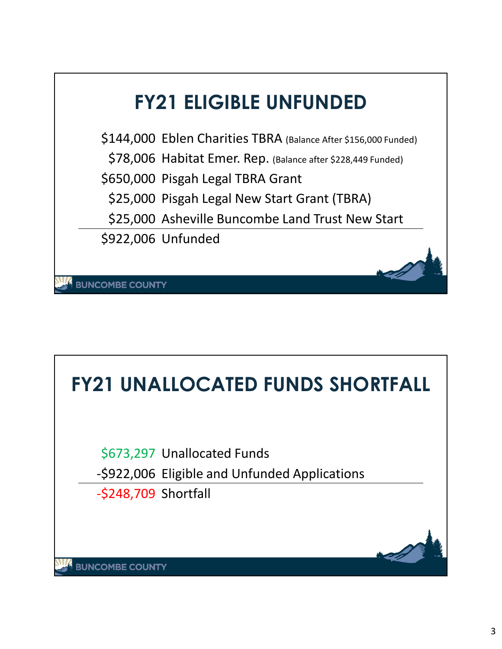

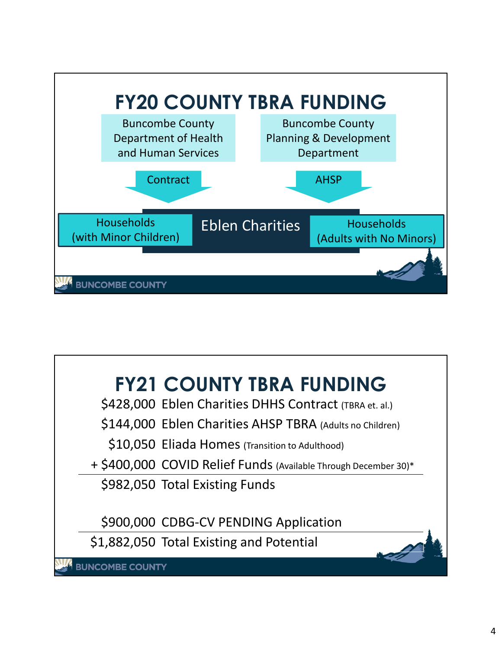

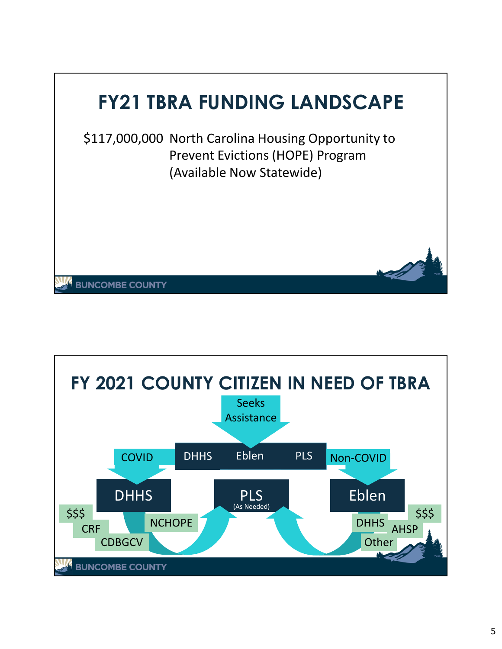

\$117,000,000 North Carolina Housing Opportunity to Prevent Evictions (HOPE) Program (Available Now Statewide)

**BUNCOMBE COUNTY**